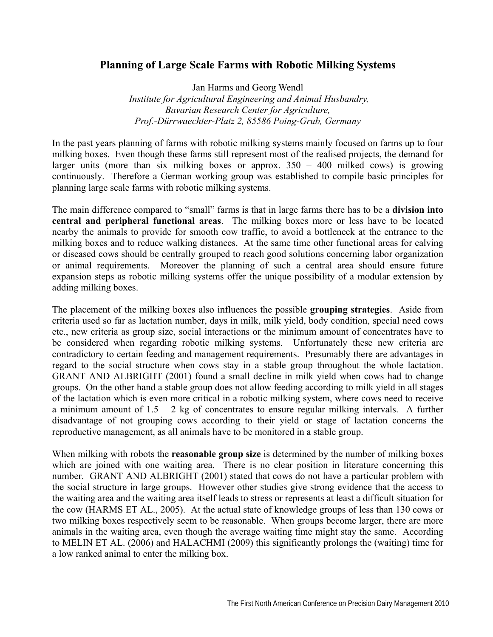## **Planning of Large Scale Farms with Robotic Milking Systems**

Jan Harms and Georg Wendl  *Institute for Agricultural Engineering and Animal Husbandry, Bavarian Research Center for Agriculture, Prof.-Dürrwaechter-Platz 2, 85586 Poing-Grub, Germany* 

In the past years planning of farms with robotic milking systems mainly focused on farms up to four milking boxes. Even though these farms still represent most of the realised projects, the demand for larger units (more than six milking boxes or approx.  $350 - 400$  milked cows) is growing continuously. Therefore a German working group was established to compile basic principles for planning large scale farms with robotic milking systems.

The main difference compared to "small" farms is that in large farms there has to be a **division into central and peripheral functional areas**. The milking boxes more or less have to be located nearby the animals to provide for smooth cow traffic, to avoid a bottleneck at the entrance to the milking boxes and to reduce walking distances. At the same time other functional areas for calving or diseased cows should be centrally grouped to reach good solutions concerning labor organization or animal requirements. Moreover the planning of such a central area should ensure future expansion steps as robotic milking systems offer the unique possibility of a modular extension by adding milking boxes.

The placement of the milking boxes also influences the possible **grouping strategies**. Aside from criteria used so far as lactation number, days in milk, milk yield, body condition, special need cows etc., new criteria as group size, social interactions or the minimum amount of concentrates have to be considered when regarding robotic milking systems. Unfortunately these new criteria are contradictory to certain feeding and management requirements. Presumably there are advantages in regard to the social structure when cows stay in a stable group throughout the whole lactation. GRANT AND ALBRIGHT (2001) found a small decline in milk yield when cows had to change groups. On the other hand a stable group does not allow feeding according to milk yield in all stages of the lactation which is even more critical in a robotic milking system, where cows need to receive a minimum amount of  $1.5 - 2$  kg of concentrates to ensure regular milking intervals. A further disadvantage of not grouping cows according to their yield or stage of lactation concerns the reproductive management, as all animals have to be monitored in a stable group.

When milking with robots the **reasonable group size** is determined by the number of milking boxes which are joined with one waiting area. There is no clear position in literature concerning this number. GRANT AND ALBRIGHT (2001) stated that cows do not have a particular problem with the social structure in large groups. However other studies give strong evidence that the access to the waiting area and the waiting area itself leads to stress or represents at least a difficult situation for the cow (HARMS ET AL., 2005). At the actual state of knowledge groups of less than 130 cows or two milking boxes respectively seem to be reasonable. When groups become larger, there are more animals in the waiting area, even though the average waiting time might stay the same. According to MELIN ET AL. (2006) and HALACHMI (2009) this significantly prolongs the (waiting) time for a low ranked animal to enter the milking box.